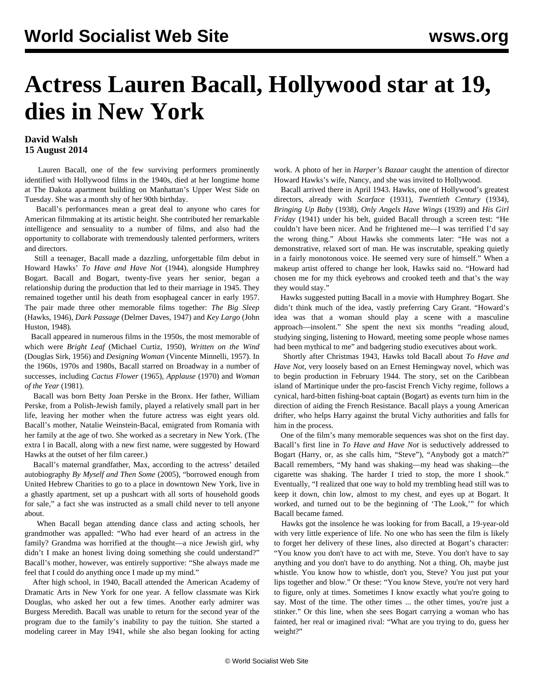## **Actress Lauren Bacall, Hollywood star at 19, dies in New York**

## **David Walsh 15 August 2014**

 Lauren Bacall, one of the few surviving performers prominently identified with Hollywood films in the 1940s, died at her longtime home at The Dakota apartment building on Manhattan's Upper West Side on Tuesday. She was a month shy of her 90th birthday.

 Bacall's performances mean a great deal to anyone who cares for American filmmaking at its artistic height. She contributed her remarkable intelligence and sensuality to a number of films, and also had the opportunity to collaborate with tremendously talented performers, writers and directors.

 Still a teenager, Bacall made a dazzling, unforgettable film debut in Howard Hawks' *To Have and Have Not* (1944), alongside Humphrey Bogart. Bacall and Bogart, twenty-five years her senior, began a relationship during the production that led to their marriage in 1945. They remained together until his death from esophageal cancer in early 1957. The pair made three other memorable films together: *The Big Sleep* (Hawks, 1946), *Dark Passage* (Delmer Daves, 1947) and *Key Largo* (John Huston, 1948).

 Bacall appeared in numerous films in the 1950s, the most memorable of which were *Bright Leaf* (Michael Curtiz, 1950), *Written on the Wind* (Douglas Sirk, 1956) and *Designing Woman* (Vincente Minnelli, 1957). In the 1960s, 1970s and 1980s, Bacall starred on Broadway in a number of successes, including *Cactus Flower* (1965), *Applause* (1970) and *Woman of the Year* (1981).

 Bacall was born Betty Joan Perske in the Bronx. Her father, William Perske, from a Polish-Jewish family, played a relatively small part in her life, leaving her mother when the future actress was eight years old. Bacall's mother, Natalie Weinstein-Bacal, emigrated from Romania with her family at the age of two. She worked as a secretary in New York. (The extra l in Bacall, along with a new first name, were suggested by Howard Hawks at the outset of her film career.)

 Bacall's maternal grandfather, Max, according to the actress' detailed autobiography *By Myself and Then Some* (2005), "borrowed enough from United Hebrew Charities to go to a place in downtown New York, live in a ghastly apartment, set up a pushcart with all sorts of household goods for sale," a fact she was instructed as a small child never to tell anyone about.

 When Bacall began attending dance class and acting schools, her grandmother was appalled: "Who had ever heard of an actress in the family? Grandma was horrified at the thought—a nice Jewish girl, why didn't I make an honest living doing something she could understand?" Bacall's mother, however, was entirely supportive: "She always made me feel that I could do anything once I made up my mind."

 After high school, in 1940, Bacall attended the American Academy of Dramatic Arts in New York for one year. A fellow classmate was Kirk Douglas, who asked her out a few times. Another early admirer was Burgess Meredith. Bacall was unable to return for the second year of the program due to the family's inability to pay the tuition. She started a modeling career in May 1941, while she also began looking for acting work. A photo of her in *Harper's Bazaar* caught the attention of director Howard Hawks's wife, Nancy, and she was invited to Hollywood.

 Bacall arrived there in April 1943. Hawks, one of Hollywood's greatest directors, already with *Scarface* (1931), *Twentieth Century* (1934), *Bringing Up Baby* (1938), *Only Angels Have Wings* (1939) and *His Girl Friday* (1941) under his belt, guided Bacall through a screen test: "He couldn't have been nicer. And he frightened me—I was terrified I'd say the wrong thing." About Hawks she comments later: "He was not a demonstrative, relaxed sort of man. He was inscrutable, speaking quietly in a fairly monotonous voice. He seemed very sure of himself." When a makeup artist offered to change her look, Hawks said no. "Howard had chosen me for my thick eyebrows and crooked teeth and that's the way they would stay."

 Hawks suggested putting Bacall in a movie with Humphrey Bogart. She didn't think much of the idea, vastly preferring Cary Grant. "Howard's idea was that a woman should play a scene with a masculine approach—insolent." She spent the next six months "reading aloud, studying singing, listening to Howard, meeting some people whose names had been mythical to me" and badgering studio executives about work.

 Shortly after Christmas 1943, Hawks told Bacall about *To Have and Have Not*, very loosely based on an Ernest Hemingway novel, which was to begin production in February 1944. The story, set on the Caribbean island of Martinique under the pro-fascist French Vichy regime, follows a cynical, hard-bitten fishing-boat captain (Bogart) as events turn him in the direction of aiding the French Resistance. Bacall plays a young American drifter, who helps Harry against the brutal Vichy authorities and falls for him in the process.

 One of the film's many memorable sequences was shot on the first day. Bacall's first line in *To Have and Have Not* is seductively addressed to Bogart (Harry, or, as she calls him, "Steve"), "Anybody got a match?" Bacall remembers, "My hand was shaking—my head was shaking—the cigarette was shaking. The harder I tried to stop, the more I shook." Eventually, "I realized that one way to hold my trembling head still was to keep it down, chin low, almost to my chest, and eyes up at Bogart. It worked, and turned out to be the beginning of 'The Look,'" for which Bacall became famed.

 Hawks got the insolence he was looking for from Bacall, a 19-year-old with very little experience of life. No one who has seen the film is likely to forget her delivery of these lines, also directed at Bogart's character: "You know you don't have to act with me, Steve. You don't have to say anything and you don't have to do anything. Not a thing. Oh, maybe just whistle. You know how to whistle, don't you, Steve? You just put your lips together and blow." Or these: "You know Steve, you're not very hard to figure, only at times. Sometimes I know exactly what you're going to say. Most of the time. The other times ... the other times, you're just a stinker." Or this line, when she sees Bogart carrying a woman who has fainted, her real or imagined rival: "What are you trying to do, guess her weight?"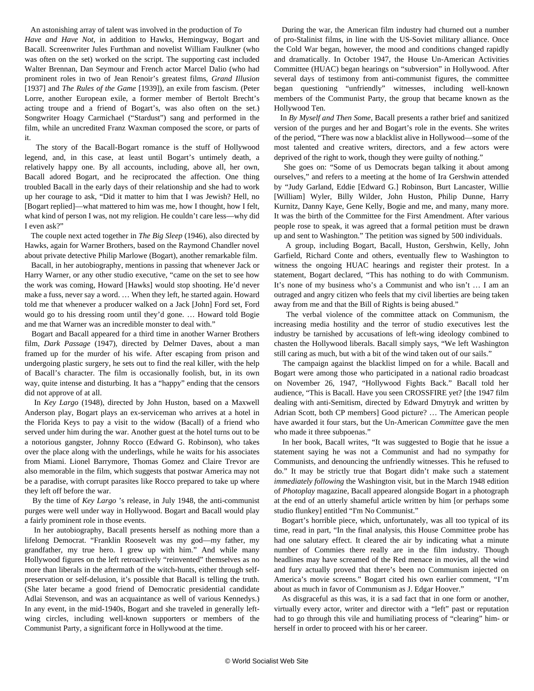An astonishing array of talent was involved in the production of *To Have and Have Not*, in addition to Hawks, Hemingway, Bogart and Bacall. Screenwriter Jules Furthman and novelist William Faulkner (who was often on the set) worked on the script. The supporting cast included Walter Brennan, Dan Seymour and French actor Marcel Dalio (who had prominent roles in two of Jean Renoir's greatest films, *Grand Illusion* [1937] and *The Rules of the Game* [1939]), an exile from fascism. (Peter Lorre, another European exile, a former member of Bertolt Brecht's acting troupe and a friend of Bogart's, was also often on the set.) Songwriter Hoagy Carmichael ("Stardust") sang and performed in the film, while an uncredited Franz Waxman composed the score, or parts of it.

 The story of the Bacall-Bogart romance is the stuff of Hollywood legend, and, in this case, at least until Bogart's untimely death, a relatively happy one. By all accounts, including, above all, her own, Bacall adored Bogart, and he reciprocated the affection. One thing troubled Bacall in the early days of their relationship and she had to work up her courage to ask, "Did it matter to him that I was Jewish? Hell, no [Bogart replied]—what mattered to him was me, how I thought, how I felt, what kind of person I was, not my religion. He couldn't care less—why did I even ask?"

 The couple next acted together in *The Big Sleep* (1946), also directed by Hawks, again for Warner Brothers, based on the Raymond Chandler novel about private detective Philip Marlowe (Bogart), another remarkable film.

 Bacall, in her autobiography, mentions in passing that whenever Jack or Harry Warner, or any other studio executive, "came on the set to see how the work was coming, Howard [Hawks] would stop shooting. He'd never make a fuss, never say a word. … When they left, he started again. Howard told me that whenever a producer walked on a Jack [John] Ford set, Ford would go to his dressing room until they'd gone. … Howard told Bogie and me that Warner was an incredible monster to deal with."

 Bogart and Bacall appeared for a third time in another Warner Brothers film, *Dark Passage* (1947), directed by Delmer Daves, about a man framed up for the murder of his wife. After escaping from prison and undergoing plastic surgery, he sets out to find the real killer, with the help of Bacall's character. The film is occasionally foolish, but, in its own way, quite intense and disturbing. It has a "happy" ending that the censors did not approve of at all.

 In *Key Largo* (1948), directed by John Huston, based on a Maxwell Anderson play, Bogart plays an ex-serviceman who arrives at a hotel in the Florida Keys to pay a visit to the widow (Bacall) of a friend who served under him during the war. Another guest at the hotel turns out to be a notorious gangster, Johnny Rocco (Edward G. Robinson), who takes over the place along with the underlings, while he waits for his associates from Miami. Lionel Barrymore, Thomas Gomez and Claire Trevor are also memorable in the film, which suggests that postwar America may not be a paradise, with corrupt parasites like Rocco prepared to take up where they left off before the war.

 By the time of *Key Largo* 's release, in July 1948, the anti-communist purges were well under way in Hollywood. Bogart and Bacall would play a fairly prominent role in those events.

 In her autobiography, Bacall presents herself as nothing more than a lifelong Democrat. "Franklin Roosevelt was my god—my father, my grandfather, my true hero. I grew up with him." And while many Hollywood figures on the left retroactively "reinvented" themselves as no more than liberals in the aftermath of the witch-hunts, either through selfpreservation or self-delusion, it's possible that Bacall is telling the truth. (She later became a good friend of Democratic presidential candidate Adlai Stevenson, and was an acquaintance as well of various Kennedys.) In any event, in the mid-1940s, Bogart and she traveled in generally leftwing circles, including well-known supporters or members of the Communist Party, a significant force in Hollywood at the time.

 During the war, the American film industry had churned out a number of pro-Stalinist films, in line with the US-Soviet military alliance. Once the Cold War began, however, the mood and conditions changed rapidly and dramatically. In October 1947, the House Un-American Activities Committee (HUAC) began hearings on "subversion" in Hollywood. After several days of testimony from anti-communist figures, the committee began questioning "unfriendly" witnesses, including well-known members of the Communist Party, the group that became known as the Hollywood Ten.

 In *By Myself and Then Some*, Bacall presents a rather brief and sanitized version of the purges and her and Bogart's role in the events. She writes of the period, "There was now a blacklist alive in Hollywood—some of the most talented and creative writers, directors, and a few actors were deprived of the right to work, though they were guilty of nothing."

 She goes on: "Some of us Democrats began talking it about among ourselves," and refers to a meeting at the home of Ira Gershwin attended by "Judy Garland, Eddie [Edward G.] Robinson, Burt Lancaster, Willie [William] Wyler, Billy Wilder, John Huston, Philip Dunne, Harry Kurnitz, Danny Kaye, Gene Kelly, Bogie and me, and many, many more. It was the birth of the Committee for the First Amendment. After various people rose to speak, it was agreed that a formal petition must be drawn up and sent to Washington." The petition was signed by 500 individuals.

 A group, including Bogart, Bacall, Huston, Gershwin, Kelly, John Garfield, Richard Conte and others, eventually flew to Washington to witness the ongoing HUAC hearings and register their protest. In a statement, Bogart declared, "This has nothing to do with Communism. It's none of my business who's a Communist and who isn't … I am an outraged and angry citizen who feels that my civil liberties are being taken away from me and that the Bill of Rights is being abused."

 The verbal violence of the committee attack on Communism, the increasing media hostility and the terror of studio executives lest the industry be tarnished by accusations of left-wing ideology combined to chasten the Hollywood liberals. Bacall simply says, "We left Washington still caring as much, but with a bit of the wind taken out of our sails."

 The campaign against the blacklist limped on for a while. Bacall and Bogart were among those who participated in a national radio broadcast on November 26, 1947, "Hollywood Fights Back." Bacall told her audience, "This is Bacall. Have you seen CROSSFIRE yet? [the 1947 film dealing with anti-Semitism, directed by Edward Dmytryk and written by Adrian Scott, both CP members] Good picture? … The American people have awarded it four stars, but the Un-American *Committee* gave the men who made it three subpoenas."

 In her book, Bacall writes, "It was suggested to Bogie that he issue a statement saying he was not a Communist and had no sympathy for Communists, and denouncing the unfriendly witnesses. This he refused to do." It may be strictly true that Bogart didn't make such a statement *immediately following* the Washington visit, but in the March 1948 edition of *Photoplay* magazine, Bacall appeared alongside Bogart in a photograph at the end of an utterly shameful article written by him [or perhaps some studio flunkey] entitled ["I'm No Communist.](https://docs.google.com/document/d/1khEGRvkO_nTSne4jDqCdtJ9aCXcPjhQaxVMExAVE_pk/preview?pli=1)"

 Bogart's horrible piece, which, unfortunately, was all too typical of its time, read in part, "In the final analysis, this House Committee probe has had one salutary effect. It cleared the air by indicating what a minute number of Commies there really are in the film industry. Though headlines may have screamed of the Red menace in movies, all the wind and fury actually proved that there's been no Communism injected on America's movie screens." Bogart cited his own earlier comment, "I'm about as much in favor of Communism as J. Edgar Hoover."

 As disgraceful as this was, it is a sad fact that in one form or another, virtually every actor, writer and director with a "left" past or reputation had to go through this vile and humiliating process of "clearing" him- or herself in order to proceed with his or her career.